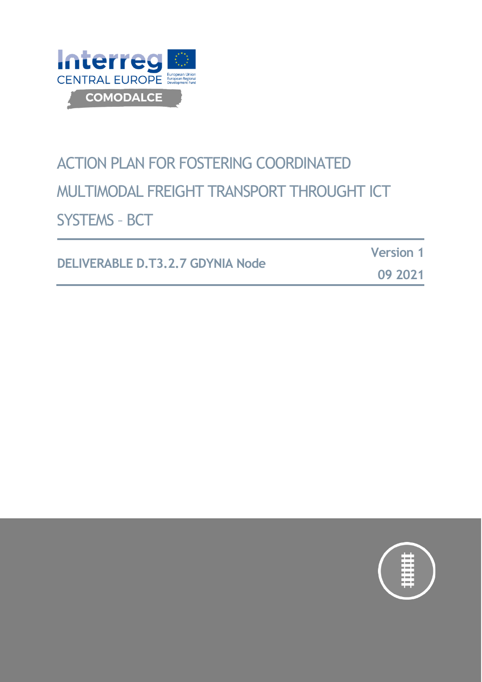

# ACTION PLAN FOR FOSTERING COORDINATED MULTIMODAL FREIGHT TRANSPORT THROUGHT ICT SYSTEMS – BCT

**DELIVERABLE D.T3.2.7 GDYNIA Node**

**Version 1**

**09 2021**

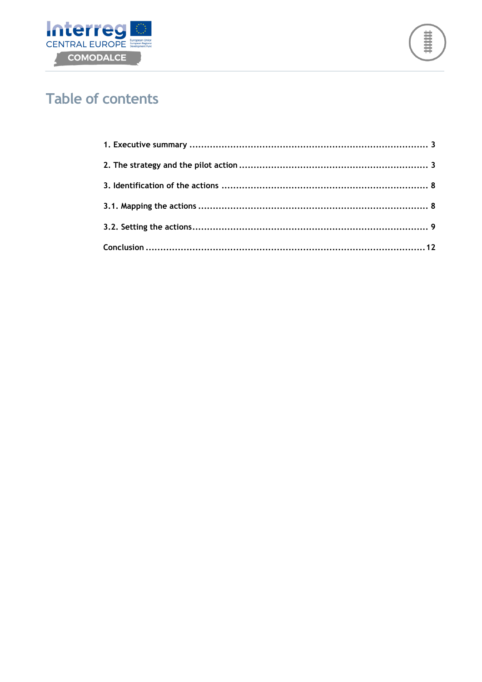



## **Table of contents**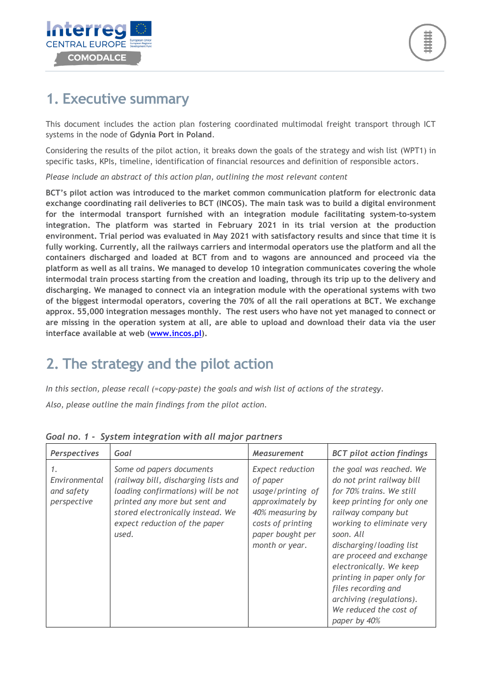

## <span id="page-2-0"></span>**1. Executive summary**

This document includes the action plan fostering coordinated multimodal freight transport through ICT systems in the node of **Gdynia Port in Poland**.

Considering the results of the pilot action, it breaks down the goals of the strategy and wish list (WPT1) in specific tasks, KPIs, timeline, identification of financial resources and definition of responsible actors.

*Please include an abstract of this action plan, outlining the most relevant content*

**BCT's pilot action was introduced to the market common communication platform for electronic data exchange coordinating rail deliveries to BCT (INCOS). The main task was to build a digital environment for the intermodal transport furnished with an integration module facilitating system-to-system integration. The platform was started in February 2021 in its trial version at the production environment. Trial period was evaluated in May 2021 with satisfactory results and since that time it is fully working. Currently, all the railways carriers and intermodal operators use the platform and all the containers discharged and loaded at BCT from and to wagons are announced and proceed via the platform as well as all trains. We managed to develop 10 integration communicates covering the whole intermodal train process starting from the creation and loading, through its trip up to the delivery and discharging. We managed to connect via an integration module with the operational systems with two of the biggest intermodal operators, covering the 70% of all the rail operations at BCT. We exchange approx. 55,000 integration messages monthly. The rest users who have not yet managed to connect or are missing in the operation system at all, are able to upload and download their data via the user interface available at web [\(www.incos.pl\)](http://www.incos.pl/).**

## <span id="page-2-1"></span>**2. The strategy and the pilot action**

*In this section, please recall (=copy-paste) the goals and wish list of actions of the strategy. Also, please outline the main findings from the pilot action.*

| Perspectives                                     | Goal                                                                                                                                                                                                                   | <b>Measurement</b>                                                                                                                                          | <b>BCT</b> pilot action findings                                                                                                                                                                                                                                                                                                                                                               |
|--------------------------------------------------|------------------------------------------------------------------------------------------------------------------------------------------------------------------------------------------------------------------------|-------------------------------------------------------------------------------------------------------------------------------------------------------------|------------------------------------------------------------------------------------------------------------------------------------------------------------------------------------------------------------------------------------------------------------------------------------------------------------------------------------------------------------------------------------------------|
| 1.<br>Environmental<br>and safety<br>perspective | Some od papers documents<br>(railway bill, discharging lists and<br>loading confirmations) will be not<br>printed any more but sent and<br>stored electronically instead. We<br>expect reduction of the paper<br>used. | <b>Expect reduction</b><br>of paper<br>usage/printing of<br>approximately by<br>40% measuring by<br>costs of printing<br>paper bought per<br>month or year. | the goal was reached. We<br>do not print railway bill<br>for 70% trains. We still<br>keep printing for only one<br>railway company but<br>working to eliminate very<br>soon. All<br>discharging/loading list<br>are proceed and exchange<br>electronically. We keep<br>printing in paper only for<br>files recording and<br>archiving (regulations).<br>We reduced the cost of<br>paper by 40% |

#### *Goal no. 1 - System integration with all major partners*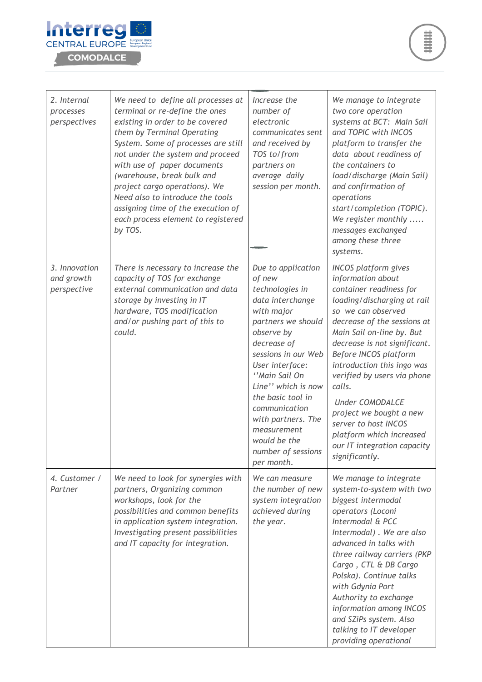

| 2. Internal<br>processes<br>perspectives   | We need to define all processes at<br>terminal or re-define the ones<br>existing in order to be covered<br>them by Terminal Operating<br>System. Some of processes are still<br>not under the system and proceed<br>with use of paper documents<br>(warehouse, break bulk and<br>project cargo operations). We<br>Need also to introduce the tools<br>assigning time of the execution of<br>each process element to registered<br>by TOS. | Increase the<br>number of<br>electronic<br>communicates sent<br>and received by<br>TOS to/from<br>partners on<br>average daily<br>session per month.                                                                                                                                                                                                 | We manage to integrate<br>two core operation<br>systems at BCT: Main Sail<br>and TOPIC with INCOS<br>platform to transfer the<br>data about readiness of<br>the containers to<br>load/discharge (Main Sail)<br>and confirmation of<br>operations<br>start/completion (TOPIC).<br>We register monthly<br>messages exchanged<br>among these three<br>systems.                                                                                                                            |
|--------------------------------------------|-------------------------------------------------------------------------------------------------------------------------------------------------------------------------------------------------------------------------------------------------------------------------------------------------------------------------------------------------------------------------------------------------------------------------------------------|------------------------------------------------------------------------------------------------------------------------------------------------------------------------------------------------------------------------------------------------------------------------------------------------------------------------------------------------------|----------------------------------------------------------------------------------------------------------------------------------------------------------------------------------------------------------------------------------------------------------------------------------------------------------------------------------------------------------------------------------------------------------------------------------------------------------------------------------------|
| 3. Innovation<br>and growth<br>perspective | There is necessary to increase the<br>capacity of TOS for exchange<br>external communication and data<br>storage by investing in IT<br>hardware, TOS modification<br>and/or pushing part of this to<br>could.                                                                                                                                                                                                                             | Due to application<br>of new<br>technologies in<br>data interchange<br>with major<br>partners we should<br>observe by<br>decrease of<br>sessions in our Web<br>User interface:<br>"Main Sail On<br>Line" which is now<br>the basic tool in<br>communication<br>with partners. The<br>measurement<br>would be the<br>number of sessions<br>per month. | <b>INCOS</b> platform gives<br>information about<br>container readiness for<br>loading/discharging at rail<br>so we can observed<br>decrease of the sessions at<br>Main Sail on-line by. But<br>decrease is not significant.<br>Before INCOS platform<br>introduction this ingo was<br>verified by users via phone<br>calls.<br><b>Under COMODALCE</b><br>project we bought a new<br>server to host INCOS<br>platform which increased<br>our IT integration capacity<br>significantly. |
| 4. Customer /<br>Partner                   | We need to look for synergies with<br>partners, Organizing common<br>workshops, look for the<br>possibilities and common benefits<br>in application system integration.<br>Investigating present possibilities<br>and IT capacity for integration.                                                                                                                                                                                        | We can measure<br>the number of new<br>system integration<br>achieved during<br>the year.                                                                                                                                                                                                                                                            | We manage to integrate<br>system-to-system with two<br>biggest intermodal<br>operators (Loconi<br>Intermodal & PCC<br>Intermodal). We are also<br>advanced in talks with<br>three railway carriers (PKP<br>Cargo, CTL & DB Cargo<br>Polska). Continue talks<br>with Gdynia Port<br>Authority to exchange<br>information among INCOS<br>and SZiPs system. Also<br>talking to IT developer<br>providing operational                                                                      |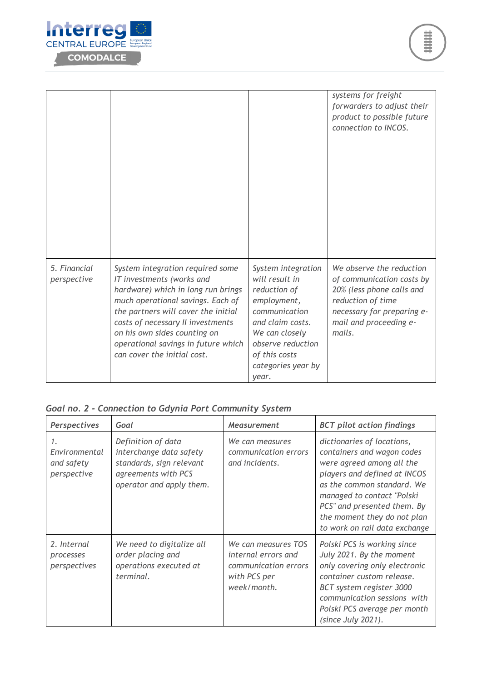

|                             |                                                                                                                                                                                                                                                                                                                            |                                                                                                                                                                                                 | systems for freight<br>forwarders to adjust their<br>product to possible future<br>connection to INCOS.                                                                   |
|-----------------------------|----------------------------------------------------------------------------------------------------------------------------------------------------------------------------------------------------------------------------------------------------------------------------------------------------------------------------|-------------------------------------------------------------------------------------------------------------------------------------------------------------------------------------------------|---------------------------------------------------------------------------------------------------------------------------------------------------------------------------|
| 5. Financial<br>perspective | System integration required some<br>IT investments (works and<br>hardware) which in long run brings<br>much operational savings. Each of<br>the partners will cover the initial<br>costs of necessary II investments<br>on his own sides counting on<br>operational savings in future which<br>can cover the initial cost. | System integration<br>will result in<br>reduction of<br>employment,<br>communication<br>and claim costs.<br>We can closely<br>observe reduction<br>of this costs<br>categories year by<br>year. | We observe the reduction<br>of communication costs by<br>20% (less phone calls and<br>reduction of time<br>necessary for preparing e-<br>mail and proceeding e-<br>mails. |

#### *Goal no. 2 - Connection to Gdynia Port Community System*

| Perspectives                                     | Goal                                                                                                                         | <b>Measurement</b>                                                                                | <b>BCT</b> pilot action findings                                                                                                                                                                                                                                                 |
|--------------------------------------------------|------------------------------------------------------------------------------------------------------------------------------|---------------------------------------------------------------------------------------------------|----------------------------------------------------------------------------------------------------------------------------------------------------------------------------------------------------------------------------------------------------------------------------------|
| 1.<br>Environmental<br>and safety<br>perspective | Definition of data<br>interchange data safety<br>standards, sign relevant<br>agreements with PCS<br>operator and apply them. | We can measures<br>communication errors<br>and incidents.                                         | dictionaries of locations,<br>containers and wagon codes<br>were agreed among all the<br>players and defined at INCOS<br>as the common standard. We<br>managed to contact "Polski<br>PCS" and presented them. By<br>the moment they do not plan<br>to work on rail data exchange |
| 2. Internal<br>processes<br>perspectives         | We need to digitalize all<br>order placing and<br>operations executed at<br>terminal.                                        | We can measures TOS<br>internal errors and<br>communication errors<br>with PCS per<br>week/month. | Polski PCS is working since<br>July 2021. By the moment<br>only covering only electronic<br>container custom release.<br>BCT system register 3000<br>communication sessions with<br>Polski PCS average per month<br>(since July 2021).                                           |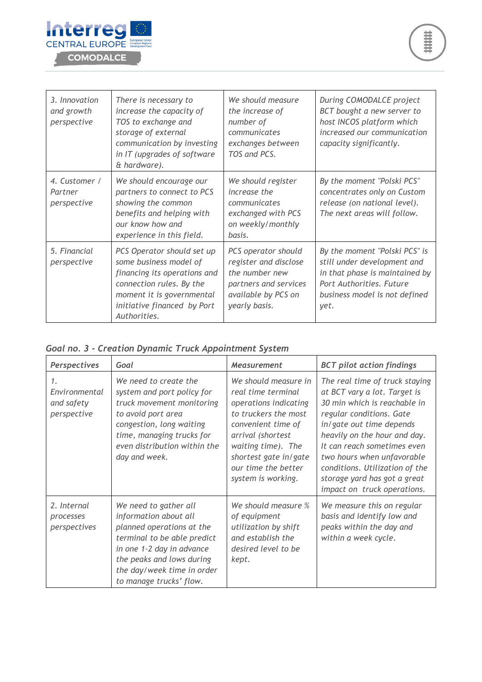

| 3. Innovation<br>and growth<br>perspective | There is necessary to<br>increase the capacity of<br>TOS to exchange and<br>storage of external<br>communication by investing<br>in IT (upgrades of software<br>& hardware).                 | We should measure<br>the increase of<br>number of<br>communicates<br>exchanges between<br>TOS and PCS.                          | During COMODALCE project<br>BCT bought a new server to<br>host INCOS platform which<br>increased our communication<br>capacity significantly.                       |
|--------------------------------------------|----------------------------------------------------------------------------------------------------------------------------------------------------------------------------------------------|---------------------------------------------------------------------------------------------------------------------------------|---------------------------------------------------------------------------------------------------------------------------------------------------------------------|
| 4. Customer /<br>Partner<br>perspective    | We should encourage our<br>partners to connect to PCS<br>showing the common<br>benefits and helping with<br>our know how and<br>experience in this field.                                    | We should register<br>increase the<br>communicates<br>exchanged with PCS<br>on weekly/monthly<br>basis.                         | By the moment "Polski PCS"<br>concentrates only on Custom<br>release (on national level).<br>The next areas will follow.                                            |
| 5. Financial<br>perspective                | PCS Operator should set up<br>some business model of<br>financing its operations and<br>connection rules. By the<br>moment it is governmental<br>initiative financed by Port<br>Authorities. | PCS operator should<br>register and disclose<br>the number new<br>partners and services<br>available by PCS on<br>yearly basis. | By the moment "Polski PCS" is<br>still under development and<br>in that phase is maintained by<br>Port Authorities. Future<br>business model is not defined<br>yet. |

|  |  | Goal no. 3 - Creation Dynamic Truck Appointment System |  |
|--|--|--------------------------------------------------------|--|
|  |  |                                                        |  |

| Perspectives                                     | Goal                                                                                                                                                                                                                          | <b>Measurement</b>                                                                                                                                                                                                                 | <b>BCT</b> pilot action findings                                                                                                                                                                                                                                                                                                                      |
|--------------------------------------------------|-------------------------------------------------------------------------------------------------------------------------------------------------------------------------------------------------------------------------------|------------------------------------------------------------------------------------------------------------------------------------------------------------------------------------------------------------------------------------|-------------------------------------------------------------------------------------------------------------------------------------------------------------------------------------------------------------------------------------------------------------------------------------------------------------------------------------------------------|
| 1.<br>Environmental<br>and safety<br>perspective | We need to create the<br>system and port policy for<br>truck movement monitoring<br>to avoid port area<br>congestion, long waiting<br>time, managing trucks for<br>even distribution within the<br>day and week.              | We should measure in<br>real time terminal<br>operations indicating<br>to truckers the most<br>convenient time of<br>arrival (shortest<br>waiting time). The<br>shortest gate in/gate<br>our time the better<br>system is working. | The real time of truck staying<br>at BCT vary a lot. Target is<br>30 min which is reachable in<br>regular conditions. Gate<br>in/ gate out time depends<br>heavily on the hour and day.<br>It can reach sometimes even<br>two hours when unfavorable<br>conditions. Utilization of the<br>storage yard has got a great<br>impact on truck operations. |
| 2. Internal<br>processes<br>perspectives         | We need to gather all<br>information about all<br>planned operations at the<br>terminal to be able predict<br>in one 1-2 day in advance<br>the peaks and lows during<br>the day/week time in order<br>to manage trucks' flow. | We should measure %<br>of equipment<br>utilization by shift<br>and establish the<br>desired level to be<br>kept.                                                                                                                   | We measure this on regular<br>basis and identify low and<br>peaks within the day and<br>within a week cycle.                                                                                                                                                                                                                                          |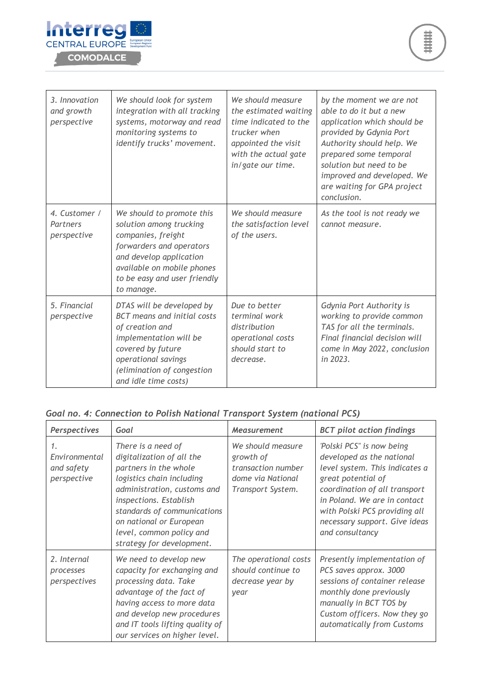

| 3. Innovation<br>and growth<br>perspective | We should look for system<br>integration with all tracking<br>systems, motorway and read<br>monitoring systems to<br>identify trucks' movement.                                                               | We should measure<br>the estimated waiting<br>time indicated to the<br>trucker when<br>appointed the visit<br>with the actual gate<br>in/gate our time. | by the moment we are not<br>able to do it but a new<br>application which should be<br>provided by Gdynia Port<br>Authority should help. We<br>prepared some temporal<br>solution but need to be<br>improved and developed. We<br>are waiting for GPA project<br>conclusion. |
|--------------------------------------------|---------------------------------------------------------------------------------------------------------------------------------------------------------------------------------------------------------------|---------------------------------------------------------------------------------------------------------------------------------------------------------|-----------------------------------------------------------------------------------------------------------------------------------------------------------------------------------------------------------------------------------------------------------------------------|
| 4. Customer /<br>Partners<br>perspective   | We should to promote this<br>solution among trucking<br>companies, freight<br>forwarders and operators<br>and develop application<br>available on mobile phones<br>to be easy and user friendly<br>to manage. | We should measure<br>the satisfaction level<br>of the users.                                                                                            | As the tool is not ready we<br>cannot measure.                                                                                                                                                                                                                              |
| 5. Financial<br>perspective                | DTAS will be developed by<br>BCT means and initial costs<br>of creation and<br>implementation will be<br>covered by future<br>operational savings<br>(elimination of congestion<br>and idle time costs)       | Due to better<br>terminal work<br>distribution<br>operational costs<br>should start to<br>decrease.                                                     | Gdynia Port Authority is<br>working to provide common<br>TAS for all the terminals.<br>Final financial decision will<br>come in May 2022, conclusion<br>in 2023.                                                                                                            |

#### *Goal no. 4: Connection to Polish National Transport System (national PCS)*

| Perspectives                                                  | Goal                                                                                                                                                                                                                                                                              | <b>Measurement</b>                                                                             | <b>BCT</b> pilot action findings                                                                                                                                                                                                                                     |
|---------------------------------------------------------------|-----------------------------------------------------------------------------------------------------------------------------------------------------------------------------------------------------------------------------------------------------------------------------------|------------------------------------------------------------------------------------------------|----------------------------------------------------------------------------------------------------------------------------------------------------------------------------------------------------------------------------------------------------------------------|
| $\mathcal{I}$ .<br>Environmental<br>and safety<br>perspective | There is a need of<br>digitalization of all the<br>partners in the whole<br>logistics chain including<br>administration, customs and<br>inspections. Establish<br>standards of communications<br>on national or European<br>level, common policy and<br>strategy for development. | We should measure<br>growth of<br>transaction number<br>dome via National<br>Transport System. | 'Polski PCS" is now being<br>developed as the national<br>level system. This indicates a<br>great potential of<br>coordination of all transport<br>in Poland. We are in contact<br>with Polski PCS providing all<br>necessary support. Give ideas<br>and consultancy |
| 2. Internal<br>processes<br>perspectives                      | We need to develop new<br>capacity for exchanging and<br>processing data. Take<br>advantage of the fact of<br>having access to more data<br>and develop new procedures<br>and IT tools lifting quality of<br>our services on higher level.                                        | The operational costs<br>should continue to<br>decrease year by<br>year                        | Presently implementation of<br>PCS saves approx. 3000<br>sessions of container release<br>monthly done previously<br>manually in BCT TOS by<br>Custom officers. Now they go<br>automatically from Customs                                                            |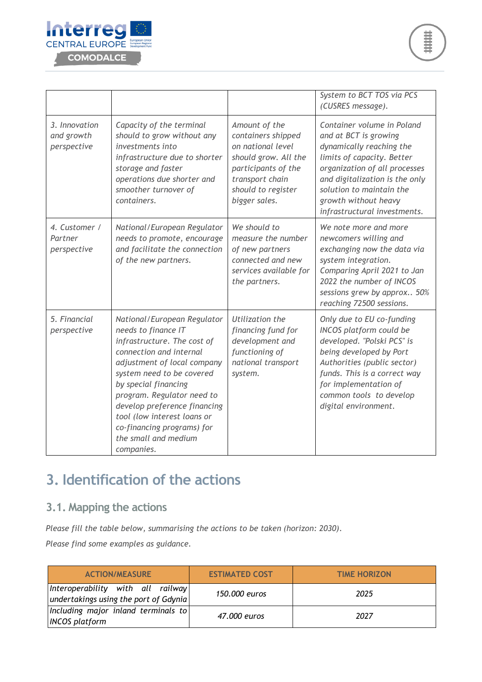

|                                            |                                                                                                                                                                                                                                                                                                                                                                   |                                                                                                                                                                   | System to BCT TOS via PCS<br>(CUSRES message).                                                                                                                                                                                                                       |
|--------------------------------------------|-------------------------------------------------------------------------------------------------------------------------------------------------------------------------------------------------------------------------------------------------------------------------------------------------------------------------------------------------------------------|-------------------------------------------------------------------------------------------------------------------------------------------------------------------|----------------------------------------------------------------------------------------------------------------------------------------------------------------------------------------------------------------------------------------------------------------------|
| 3. Innovation<br>and growth<br>perspective | Capacity of the terminal<br>should to grow without any<br>investments into<br>infrastructure due to shorter<br>storage and faster<br>operations due shorter and<br>smoother turnover of<br>containers.                                                                                                                                                            | Amount of the<br>containers shipped<br>on national level<br>should grow. All the<br>participants of the<br>transport chain<br>should to register<br>bigger sales. | Container volume in Poland<br>and at BCT is growing<br>dynamically reaching the<br>limits of capacity. Better<br>organization of all processes<br>and digitalization is the only<br>solution to maintain the<br>growth without heavy<br>infrastructural investments. |
| 4. Customer /<br>Partner<br>perspective    | National/European Regulator<br>needs to promote, encourage<br>and facilitate the connection<br>of the new partners.                                                                                                                                                                                                                                               | We should to<br>measure the number<br>of new partners<br>connected and new<br>services available for<br>the partners.                                             | We note more and more<br>newcomers willing and<br>exchanging now the data via<br>system integration.<br>Comparing April 2021 to Jan<br>2022 the number of INCOS<br>sessions grew by approx 50%<br>reaching 72500 sessions.                                           |
| 5. Financial<br>perspective                | National/European Regulator<br>needs to finance IT<br>infrastructure. The cost of<br>connection and internal<br>adjustment of local company<br>system need to be covered<br>by special financing<br>program. Regulator need to<br>develop preference financing<br>tool (low interest loans or<br>co-financing programs) for<br>the small and medium<br>companies. | Utilization the<br>financing fund for<br>development and<br>functioning of<br>national transport<br>system.                                                       | Only due to EU co-funding<br><b>INCOS</b> platform could be<br>developed. "Polski PCS" is<br>being developed by Port<br>Authorities (public sector)<br>funds. This is a correct way<br>for implementation of<br>common tools to develop<br>digital environment.      |

## <span id="page-7-0"></span>**3. Identification of the actions**

#### <span id="page-7-1"></span>**3.1. Mapping the actions**

*Please fill the table below, summarising the actions to be taken (horizon: 2030).*

*Please find some examples as guidance.*

| <b>ACTION/MEASURE</b>                                                      | <b>ESTIMATED COST</b> | <b>TIME HORIZON</b> |
|----------------------------------------------------------------------------|-----------------------|---------------------|
| Interoperability with all railway<br>undertakings using the port of Gdynia | 150,000 euros         | 2025                |
| Including major inland terminals to<br><b>INCOS</b> platform               | 47.000 euros          | 2027                |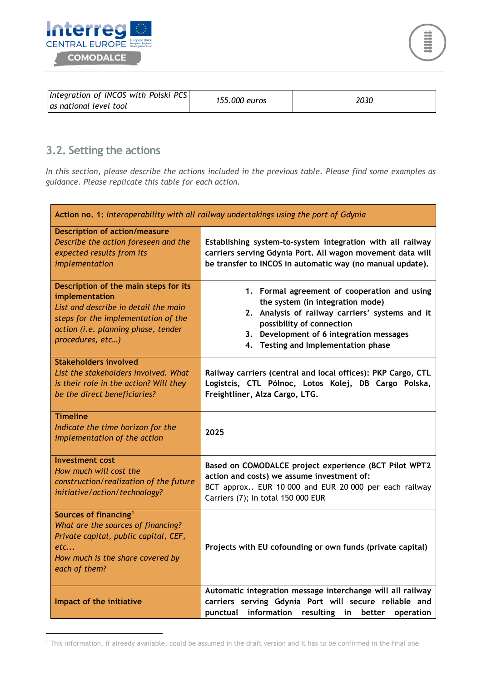



| Integration of INCOS with Polski PCS<br>las national level tool | 155,000 euros | 2030 |
|-----------------------------------------------------------------|---------------|------|
|-----------------------------------------------------------------|---------------|------|

### <span id="page-8-0"></span>**3.2. Setting the actions**

 $\overline{a}$ 

*In this section, please describe the actions included in the previous table. Please find some examples as guidance. Please replicate this table for each action.*

| Action no. 1: Interoperability with all railway undertakings using the port of Gdynia                                                                                                             |                                                                                                                                                                                                                                                     |
|---------------------------------------------------------------------------------------------------------------------------------------------------------------------------------------------------|-----------------------------------------------------------------------------------------------------------------------------------------------------------------------------------------------------------------------------------------------------|
| <b>Description of action/measure</b><br>Describe the action foreseen and the<br>expected results from its<br>implementation                                                                       | Establishing system-to-system integration with all railway<br>carriers serving Gdynia Port. All wagon movement data will<br>be transfer to INCOS in automatic way (no manual update).                                                               |
| Description of the main steps for its<br>implementation<br>List and describe in detail the main<br>steps for the implementation of the<br>action (i.e. planning phase, tender<br>procedures, etc) | 1. Formal agreement of cooperation and using<br>the system (in integration mode)<br>2. Analysis of railway carriers' systems and it<br>possibility of connection<br>3. Development of 6 integration messages<br>4. Testing and Implementation phase |
| <b>Stakeholders involved</b><br>List the stakeholders involved. What<br>is their role in the action? Will they<br>be the direct beneficiaries?                                                    | Railway carriers (central and local offices): PKP Cargo, CTL<br>Logistcis, CTL Północ, Lotos Kolej, DB Cargo Polska,<br>Freightliner, Alza Cargo, LTG.                                                                                              |
| <b>Timeline</b><br>Indicate the time horizon for the<br>implementation of the action                                                                                                              | 2025                                                                                                                                                                                                                                                |
| Investment cost<br>How much will cost the<br>construction/realization of the future<br>initiative/action/technology?                                                                              | Based on COMODALCE project experience (BCT Pilot WPT2<br>action and costs) we assume investment of:<br>BCT approx EUR 10 000 and EUR 20 000 per each railway<br>Carriers (7); In total 150 000 EUR                                                  |
| Sources of financing <sup>1</sup><br>What are the sources of financing?<br>Private capital, public capital, CEF,<br>etc<br>How much is the share covered by<br>each of them?                      | Projects with EU cofounding or own funds (private capital)                                                                                                                                                                                          |
| Impact of the initiative                                                                                                                                                                          | Automatic integration message interchange will all railway<br>carriers serving Gdynia Port will secure reliable and<br>punctual information resulting<br>in<br>better<br>operation                                                                  |

<sup>&</sup>lt;sup>1</sup> This information, if already available, could be assumed in the draft version and it has to be confirmed in the final one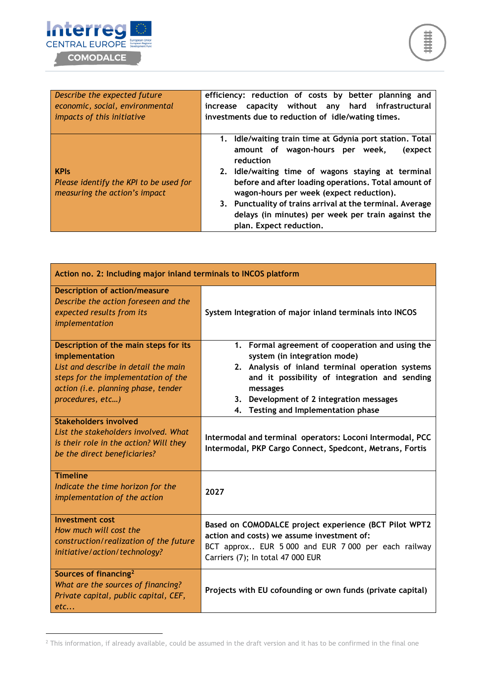

 $\overline{a}$ 

| Describe the expected future                                                           | efficiency: reduction of costs by better planning and                                                                                                                                                                                                                                                                                                                                                                       |
|----------------------------------------------------------------------------------------|-----------------------------------------------------------------------------------------------------------------------------------------------------------------------------------------------------------------------------------------------------------------------------------------------------------------------------------------------------------------------------------------------------------------------------|
| economic, social, environmental                                                        | increase capacity without any hard infrastructural                                                                                                                                                                                                                                                                                                                                                                          |
| impacts of this initiative                                                             | investments due to reduction of idle/wating times.                                                                                                                                                                                                                                                                                                                                                                          |
| <b>KPIs</b><br>Please identify the KPI to be used for<br>measuring the action's impact | 1. Idle/waiting train time at Gdynia port station. Total<br>amount of wagon-hours per week,<br>(expect<br>reduction<br>2. Idle/waiting time of wagons staying at terminal<br>before and after loading operations. Total amount of<br>wagon-hours per week (expect reduction).<br>3. Punctuality of trains arrival at the terminal. Average<br>delays (in minutes) per week per train against the<br>plan. Expect reduction. |

| Action no. 2: Including major inland terminals to INCOS platform                                                                                                                                  |                                                                                                                                                                                                                                                                                      |  |
|---------------------------------------------------------------------------------------------------------------------------------------------------------------------------------------------------|--------------------------------------------------------------------------------------------------------------------------------------------------------------------------------------------------------------------------------------------------------------------------------------|--|
| <b>Description of action/measure</b><br>Describe the action foreseen and the<br>expected results from its<br>implementation                                                                       | System Integration of major inland terminals into INCOS                                                                                                                                                                                                                              |  |
| Description of the main steps for its<br>implementation<br>List and describe in detail the main<br>steps for the implementation of the<br>action (i.e. planning phase, tender<br>procedures, etc) | 1. Formal agreement of cooperation and using the<br>system (in integration mode)<br>2. Analysis of inland terminal operation systems<br>and it possibility of integration and sending<br>messages<br>3. Development of 2 integration messages<br>4. Testing and Implementation phase |  |
| <b>Stakeholders involved</b><br>List the stakeholders involved. What<br>is their role in the action? Will they<br>be the direct beneficiaries?                                                    | Intermodal and terminal operators: Loconi Intermodal, PCC<br>Intermodal, PKP Cargo Connect, Spedcont, Metrans, Fortis                                                                                                                                                                |  |
| <b>Timeline</b><br>Indicate the time horizon for the<br>implementation of the action                                                                                                              | 2027                                                                                                                                                                                                                                                                                 |  |
| <b>Investment cost</b><br>How much will cost the<br>construction/realization of the future<br>initiative/action/technology?                                                                       | Based on COMODALCE project experience (BCT Pilot WPT2<br>action and costs) we assume investment of:<br>BCT approx EUR 5 000 and EUR 7 000 per each railway<br>Carriers (7); In total 47 000 EUR                                                                                      |  |
| Sources of financing <sup>2</sup><br>What are the sources of financing?<br>Private capital, public capital, CEF,<br>etc                                                                           | Projects with EU cofounding or own funds (private capital)                                                                                                                                                                                                                           |  |

 $2$  This information, if already available, could be assumed in the draft version and it has to be confirmed in the final one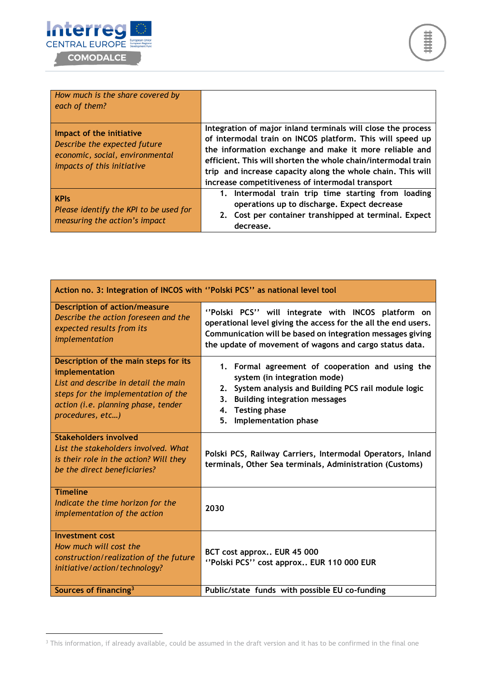

 $\overline{a}$ 

| How much is the share covered by<br>each of them?                                                                         |                                                                                                                                                                                                                                                                                                                                                                         |
|---------------------------------------------------------------------------------------------------------------------------|-------------------------------------------------------------------------------------------------------------------------------------------------------------------------------------------------------------------------------------------------------------------------------------------------------------------------------------------------------------------------|
| Impact of the initiative<br>Describe the expected future<br>economic, social, environmental<br>impacts of this initiative | Integration of major inland terminals will close the process<br>of intermodal train on INCOS platform. This will speed up<br>the information exchange and make it more reliable and<br>efficient. This will shorten the whole chain/intermodal train<br>trip and increase capacity along the whole chain. This will<br>increase competitiveness of intermodal transport |
| <b>KPIs</b><br>Please identify the KPI to be used for<br>measuring the action's impact                                    | 1. Intermodal train trip time starting from loading<br>operations up to discharge. Expect decrease<br>2. Cost per container transhipped at terminal. Expect<br>decrease.                                                                                                                                                                                                |

| Action no. 3: Integration of INCOS with "Polski PCS" as national level tool                                                                                                                       |                                                                                                                                                                                                                                               |  |
|---------------------------------------------------------------------------------------------------------------------------------------------------------------------------------------------------|-----------------------------------------------------------------------------------------------------------------------------------------------------------------------------------------------------------------------------------------------|--|
| <b>Description of action/measure</b><br>Describe the action foreseen and the<br>expected results from its<br>implementation                                                                       | "Polski PCS" will integrate with INCOS platform on<br>operational level giving the access for the all the end users.<br>Communication will be based on integration messages giving<br>the update of movement of wagons and cargo status data. |  |
| Description of the main steps for its<br>implementation<br>List and describe in detail the main<br>steps for the implementation of the<br>action (i.e. planning phase, tender<br>procedures, etc) | 1. Formal agreement of cooperation and using the<br>system (in integration mode)<br>2. System analysis and Building PCS rail module logic<br>3. Building integration messages<br>4. Testing phase<br>5. Implementation phase                  |  |
| <b>Stakeholders involved</b><br>List the stakeholders involved. What<br>is their role in the action? Will they<br>be the direct beneficiaries?                                                    | Polski PCS, Railway Carriers, Intermodal Operators, Inland<br>terminals, Other Sea terminals, Administration (Customs)                                                                                                                        |  |
| <b>Timeline</b><br>Indicate the time horizon for the<br>implementation of the action                                                                                                              | 2030                                                                                                                                                                                                                                          |  |
| Investment cost<br>How much will cost the<br>construction/realization of the future<br>initiative/action/technology?                                                                              | BCT cost approx EUR 45 000<br>"Polski PCS" cost approx EUR 110 000 EUR                                                                                                                                                                        |  |
| Sources of financing <sup>3</sup>                                                                                                                                                                 | Public/state funds with possible EU co-funding                                                                                                                                                                                                |  |

<sup>&</sup>lt;sup>3</sup> This information, if already available, could be assumed in the draft version and it has to be confirmed in the final one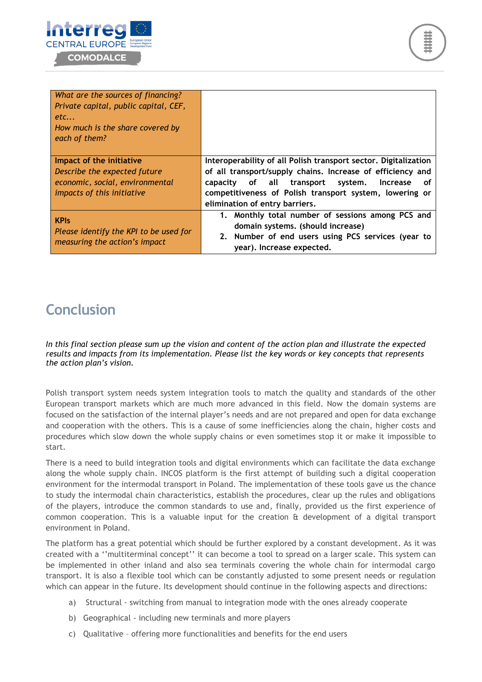

| What are the sources of financing?                    |                                                                 |
|-------------------------------------------------------|-----------------------------------------------------------------|
| Private capital, public capital, CEF,                 |                                                                 |
| etc                                                   |                                                                 |
| How much is the share covered by                      |                                                                 |
| each of them?                                         |                                                                 |
|                                                       |                                                                 |
| Impact of the initiative                              | Interoperability of all Polish transport sector. Digitalization |
| Describe the expected future                          | of all transport/supply chains. Increase of efficiency and      |
| economic, social, environmental                       | of all transport system.<br><b>Increase</b><br>capacity<br>οf   |
| <i>impacts of this initiative</i>                     | competitiveness of Polish transport system, lowering or         |
|                                                       | elimination of entry barriers.                                  |
| <b>KPIs</b><br>Please identify the KPI to be used for | 1. Monthly total number of sessions among PCS and               |
|                                                       | domain systems. (should increase)                               |
|                                                       | 2. Number of end users using PCS services (year to              |
| measuring the action's impact                         | year). Increase expected.                                       |

## <span id="page-11-0"></span>**Conclusion**

*In this final section please sum up the vision and content of the action plan and illustrate the expected results and impacts from its implementation. Please list the key words or key concepts that represents the action plan's vision.*

Polish transport system needs system integration tools to match the quality and standards of the other European transport markets which are much more advanced in this field. Now the domain systems are focused on the satisfaction of the internal player's needs and are not prepared and open for data exchange and cooperation with the others. This is a cause of some inefficiencies along the chain, higher costs and procedures which slow down the whole supply chains or even sometimes stop it or make it impossible to start.

There is a need to build integration tools and digital environments which can facilitate the data exchange along the whole supply chain. INCOS platform is the first attempt of building such a digital cooperation environment for the intermodal transport in Poland. The implementation of these tools gave us the chance to study the intermodal chain characteristics, establish the procedures, clear up the rules and obligations of the players, introduce the common standards to use and, finally, provided us the first experience of common cooperation. This is a valuable input for the creation & development of a digital transport environment in Poland.

The platform has a great potential which should be further explored by a constant development. As it was created with a ''multiterminal concept'' it can become a tool to spread on a larger scale. This system can be implemented in other inland and also sea terminals covering the whole chain for intermodal cargo transport. It is also a flexible tool which can be constantly adjusted to some present needs or regulation which can appear in the future. Its development should continue in the following aspects and directions:

- a) Structural switching from manual to integration mode with the ones already cooperate
- b) Geographical including new terminals and more players
- c) Qualitative offering more functionalities and benefits for the end users